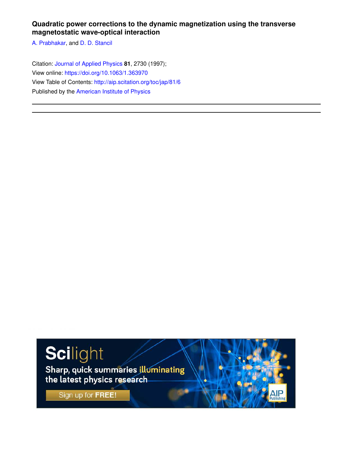# **Quadratic power corrections to the dynamic magnetization using the transverse magnetostatic wave-optical interaction**

A. Prabhakar, and D. D. Stancil

Citation: Journal of Applied Physics **81**, 2730 (1997); View online: https://doi.org/10.1063/1.363970 View Table of Contents: http://aip.scitation.org/toc/jap/81/6 Published by the American Institute of Physics

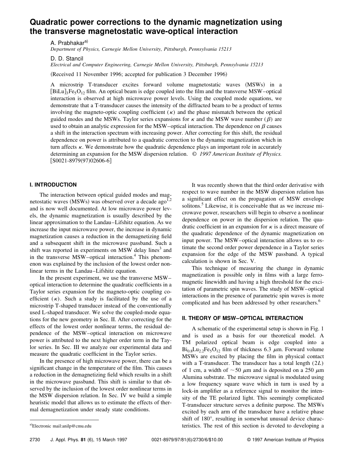# **Quadratic power corrections to the dynamic magnetization using the transverse magnetostatic wave-optical interaction**

A. Prabhakar<sup>a)</sup>

*Department of Physics, Carnegie Mellon University, Pittsburgh, Pennsylvania 15213*

D. D. Stancil

*Electrical and Computer Engineering, Carnegie Mellon University, Pittsburgh, Pennsylvania 15213*

(Received 11 November 1996; accepted for publication 3 December 1996)

A microstrip T-transducer excites forward volume magnetostatic waves (MSWs) in a  $[BiLu]_3Fe_5O_{12}$  film. An optical beam is edge coupled into the film and the transverse MSW–optical interaction is observed at high microwave power levels. Using the coupled mode equations, we demonstrate that a T-transducer causes the intensity of the diffracted beam to be a product of terms involving the magneto-optic coupling coefficient  $(\kappa)$  and the phase mismatch between the optical guided modes and the MSWs. Taylor series expansions for  $\kappa$  and the MSW wave number ( $\beta$ ) are used to obtain an analytic expression for the MSW–optical interaction. The dependence on  $\beta$  causes a shift in the interaction spectrum with increasing power. After correcting for this shift, the residual dependence on power is attributed to a quadratic correction to the dynamic magnetization which in turn affects  $\kappa$ . We demonstrate how the quadratic dependence plays an important role in accurately determining an expansion for the MSW dispersion relation. © *1997 American Institute of Physics.*  $[$ S0021-8979(97)02606-6]

### **I. INTRODUCTION**

The interaction between optical guided modes and magnetostatic waves  $(MSWs)$  was observed over a decade ago<sup>1,2</sup> and is now well documented. At low microwave power levels, the dynamic magnetization is usually described by the linear approximation to the Landau–Lifshitz equation. As we increase the input microwave power, the increase in dynamic magnetization causes a reduction in the demagnetizing field and a subsequent shift in the microwave passband. Such a shift was reported in experiments on MSW delay lines<sup>3</sup> and in the transverse  $MSW$ –optical interaction.<sup>4</sup> This phenomenon was explained by the inclusion of the lowest order nonlinear terms in the Landau–Lifshitz equation.

In the present experiment, we use the transverse MSW– optical interaction to determine the quadratic coefficients in a Taylor series expansion for the magneto-optic coupling coefficient  $(\kappa)$ . Such a study is facilitated by the use of a microstrip T-shaped transducer instead of the conventionally used L-shaped transducer. We solve the coupled-mode equations for the new geometry in Sec. II. After correcting for the effects of the lowest order nonlinear terms, the residual dependence of the MSW–optical interaction on microwave power is attributed to the next higher order term in the Taylor series. In Sec. III we analyze our experimental data and measure the quadratic coefficient in the Taylor series.

In the presence of high microwave power, there can be a significant change in the temperature of the film. This causes a reduction in the demagnetizing field which results in a shift in the microwave passband. This shift is similar to that observed by the inclusion of the lowest order nonlinear terms in the MSW dispersion relation. In Sec. IV we build a simple heuristic model that allows us to estimate the effects of thermal demagnetization under steady state conditions.

It was recently shown that the third order derivative with respect to wave number in the MSW dispersion relation has a significant effect on the propagation of MSW envelope solitons.<sup>5</sup> Likewise, it is conceivable that as we increase microwave power, researchers will begin to observe a nonlinear dependence on power in the dispersion relation. The quadratic coefficient in an expansion for  $\kappa$  is a direct measure of the quadratic dependence of the dynamic magnetization on input power. The MSW–optical interaction allows us to estimate the second order power dependence in a Taylor series expansion for the edge of the MSW passband. A typical calculation is shown in Sec. V.

This technique of measuring the change in dynamic magnetization is possible only in films with a large ferromagnetic linewidth and having a high threshold for the excitation of parametric spin waves. The study of MSW–optical interactions in the presence of parametric spin waves is more complicated and has been addressed by other researchers.<sup>6</sup>

## **II. THEORY OF MSW–OPTICAL INTERACTION**

A schematic of the experimental setup is shown in Fig. 1 and is used as a basis for our theoretical model. A TM polarized optical beam is edge coupled into a  $Bi_{0.8}Lu_{2.2}Fe_5O_{12}$  film of thickness 6.3  $\mu$ m. Forward volume MSWs are excited by placing the film in physical contact with a T-transducer. The transducer has a total length (2*L*) of 1 cm, a width of  $\sim$  50  $\mu$ m and is deposited on a 250  $\mu$ m Alumina substrate. The microwave signal is modulated using a low frequency square wave which in turn is used by a lock-in amplifier as a reference signal to monitor the intensity of the TE polarized light. This seemingly complicated T-transducer structure serves a definite purpose. The MSWs excited by each arm of the transducer have a relative phase shift of 180°, resulting in somewhat unusual device characa)Electronic mail:anilp@cmu.edu entity control of the rest of this section is devoted to developing a a allocation of the rest of this section is devoted to developing a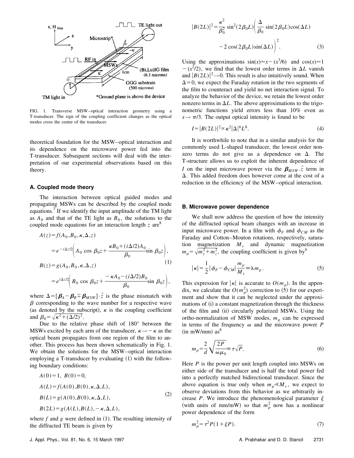

FIG. 1. Transverse MSW–optical interaction geometry using a T-transducer. The sign of the coupling coefficient changes as the optical modes cross the center of the transducer.

theoretical foundation for the MSW–optical interaction and its dependence on the microwave power fed into the T-transducer. Subsequent sections will deal with the interpretation of our experimental observations based on this theory.

#### **A. Coupled mode theory**

The interaction between optical guided modes and propagating MSWs can be described by the coupled mode equations.<sup>7</sup> If we identify the input amplitude of the TM light as  $A_0$  and that of the TE light as  $B_0$ , the solutions to the coupled mode equations for an interaction length  $z$  are<sup>8</sup>

$$
A(z) = f(A_0, B_0, \kappa, \Delta, z)
$$
  
=  $e^{-i\Delta z/2} \Bigg( A_0 \cos \beta_0 z + \frac{\kappa B_0 + (i\Delta/2)A_0}{\beta_0} \sin \beta_0 z \Bigg),$   

$$
B(z) = g(A_0, B_0, \kappa, \Delta, z)
$$
  
=  $e^{i\Delta z/2} \Bigg( B_0 \cos \beta_0 z + \frac{-\kappa A_0 - (i\Delta/2)B_0}{\beta_0} \sin \beta_0 z \Bigg),$ 

where  $\Delta = [\beta_A - \beta_B \mp \beta_{MSW}] \cdot \hat{z}$  is the phase mismatch with  $\beta$  corresponding to the wave number for a respective wave (as denoted by the subscript),  $\kappa$  is the coupling coefficient and  $\beta_0 = \sqrt{\kappa^2 + (\Delta/2)^2}$ .

Due to the relative phase shift of 180° between the MSWs excited by each arm of the transducer,  $\kappa \rightarrow -\kappa$  as the optical beam propagates from one region of the film to another. This process has been shown schematically in Fig. 1. We obtain the solutions for the MSW–optical interaction employing a T-transducer by evaluating  $(1)$  with the following boundary conditions:

$$
A(0) = 1, B(0) = 0,
$$
  
\n
$$
A(L) = f(A(0), B(0), \kappa, \Delta, L),
$$
  
\n
$$
B(L) = g(A(0), B(0), \kappa, \Delta, L),
$$
  
\n
$$
B(2L) = g(A(L), B(L), -\kappa, \Delta, L),
$$
\n(2)

where  $f$  and  $g$  were defined in  $(1)$ . The resulting intensity of the diffracted TE beam is given by

$$
|B(2L)|^2 = \frac{\kappa^2}{\beta_0^2} \sin^2(2\beta_0 L) \left(\frac{\Delta}{\beta_0} \sin(2\beta_0 L) \cos(\Delta L) -2 \cos(2\beta_0 L) \sin(\Delta L)\right)^2.
$$
 (3)

Using the approximations  $sin(x) \approx x - (x^3/6)$  and  $cos(x) \approx 1$  $-(x^2/2)$ , we find that the lowest order terms in  $\Delta L$  vanish and  $|B(2L)|^2 \rightarrow 0$ . This result is also intuitively sound. When  $\Delta$ =0, we expect the Faraday rotation in the two segments of the film to counteract and yield no net interaction signal. To analyze the behavior of the device, we retain the lowest order nonzero terms in  $\Delta L$ . The above approximations to the trigonometric functions yield errors less than 10% even as  $x \rightarrow \pi/3$ . The output optical intensity is found to be

$$
I = |B(2L)|^2 \propto \kappa^2 |\Delta|^6 L^8. \tag{4}
$$

It is worthwhile to note that in a similar analysis for the commonly used L-shaped transducer, the lowest order nonzero terms do not give us a dependence on  $\Delta$ . The T-structure allows us to exploit the inherent dependence of *I* on the input microwave power via the  $\beta_{MSW}$   $\hat{z}$  term in  $\Delta$ . This added freedom does however come at the cost of a reduction in the efficiency of the MSW–optical interaction.

#### **B. Microwave power dependence**

We shall now address the question of how the intensity of the diffracted optical beam changes with an increase in input microwave power. In a film with  $\phi_F$  and  $\phi_{CM}$  as the Faraday and Cotton–Mouton rotations, respectively, saturation magnetization *M<sup>s</sup>* and dynamic magnetization  $m_p = \sqrt{m_y^2 + m_z^2}$ , the coupling coefficient is given by<sup>9</sup>

$$
|\kappa| = \frac{1}{2} |\phi_F - \phi_{CM}| \frac{m_\rho}{M_s} = \lambda m_\rho.
$$
 (5)

This expression for  $|\kappa|$  is accurate to  $O(m_{\rho})$ . In the appendix, we calculate the  $O(m_\rho^2)$  correction to (5) for our experiment and show that it can be neglected under the approximations of (i) a constant magnetization through the thickness of the film and (ii) circularly polarized MSWs. Using the ortho-normalization of MSW modes,  $m<sub>o</sub>$  can be expressed in terms of the frequency  $\omega$  and the microwave power *P*  $(in$  mW/mm $)$  as<sup>8</sup>

$$
m_{\rho} = \frac{2}{d} \sqrt{\frac{2P}{\omega \mu_0}} \equiv \tau \sqrt{P}.
$$
 (6)

Here *P* is the power per unit length coupled into MSWs on either side of the transducer and is half the total power fed into a perfectly matched bidirectional transducer. Since the above equation is true only when  $m_\rho \ll M_s$ , we expect to observe deviations from this behavior as we arbitrarily increase *P*. We introduce the phenomenological parameter  $\xi$ (with units of mm/mW) so that  $m_\rho^2$  now has a nonlinear power dependence of the form

$$
n_{\rho}^{2} = \tau^{2} P (1 + \xi P). \tag{7}
$$

*m*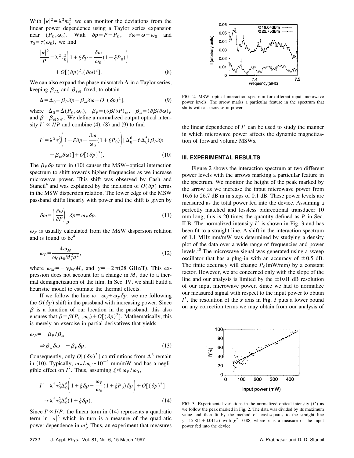With  $|\kappa|^2 = \lambda^2 m_\rho^2$  we can monitor the deviations from the linear power dependence using a Taylor series expansion near  $(P_0, \omega_0)$ . With  $\delta p = P - P_0$ ,  $\delta \omega = \omega - \omega_0$  and  $\tau_0 = \tau(\omega_0)$ , we find

$$
\frac{|\kappa|^2}{P} = \lambda^2 \tau_0^2 \left( 1 + \xi \delta p - \frac{\delta \omega}{\omega_0} (1 + \xi P_0) \right) + O[(\delta p)^2, (\delta \omega)^2].
$$
\n(8)

We can also expand the phase mismatch  $\Delta$  in a Taylor series, keeping  $\beta_{TE}$  and  $\beta_{TM}$  fixed, to obtain

$$
\Delta = \Delta_0 - \beta_P \delta p - \beta_\omega \delta \omega + O[(\delta p)^2],\tag{9}
$$

where  $\Delta_0 = \Delta(P_0, \omega_0)$ ,  $\beta_P = (\partial \beta/\partial P)_\omega$ ,  $\beta_\omega = (\partial \beta/\partial \omega)_P$ and  $\beta = \beta_{MSW}$ . We define a normalized output optical intensity  $I' \propto I/P$  and combine (4), (8) and (9) to find

$$
I' = \lambda^2 \tau_0^2 \left( 1 + \xi \delta p - \frac{\delta \omega}{\omega_0} (1 + \xi P_0) \right) \left[ \Delta_0^6 - 6 \Delta_0^5 (\beta_P \delta p + \beta_\omega \delta \omega) \right] + O[(\delta p)^2].
$$
 (10)

The  $\beta_p \delta p$  term in (10) causes the MSW–optical interaction spectrum to shift towards higher frequencies as we increase microwave power. This shift was observed by Cash and Stancil<sup>4</sup> and was explained by the inclusion of  $O(\delta p)$  terms in the MSW dispersion relation. The lower edge of the MSW passband shifts linearly with power and the shift is given by

$$
\delta \omega = \left(\frac{\partial \omega}{\partial P}\right)_{\beta} \delta p \equiv \omega_P \delta p. \tag{11}
$$

 $\omega_p$  is usually calculated from the MSW dispersion relation and is found to be $<sup>4</sup>$ </sup>

$$
\omega_P = \frac{4\,\omega_M}{\omega_0 \mu_0 M_s^2 d^2},\tag{12}
$$

where  $\omega_M = -\gamma \mu_0 M_s$  and  $\gamma = -2\pi (28 \text{ GHz/T})$ . This expression does not account for a change in  $M<sub>s</sub>$  due to a thermal demagnetization of the film. In Sec. IV, we shall build a heuristic model to estimate the thermal effects.

If we follow the line  $\omega = \omega_0 + \omega_p \delta p$ , we are following the  $O(\delta p)$  shift in the passband with increasing power. Since  $\beta$  is a function of our location in the passband, this also ensures that  $\beta = \beta(P_0, \omega_0) + O[(\delta p)^2]$ . Mathematically, this is merely an exercise in partial derivatives that yields

$$
\omega_P = -\beta_P/\beta_\omega
$$
  
\n
$$
\Rightarrow \beta_\omega \delta \omega = -\beta_P \delta p.
$$
 (13)

Consequently, only  $O[(\delta p)^2]$  contributions from  $\Delta^6$  remain in (10). Typically,  $\omega_P / \omega_0 \sim 10^{-4}$  mm/mW and has a negligible effect on *I'*. Thus, assuming  $\xi \ll \omega_p / \omega_0$ ,

$$
I' = \lambda^2 \tau_0^2 \Delta_0^6 \left( 1 + \xi \delta p - \frac{\omega_P}{\omega_0} (1 + \xi P_0) \delta p \right) + O[(\delta p)^2]
$$
  

$$
\approx \lambda^2 \tau_0^2 \Delta_0^6 (1 + \xi \delta p).
$$
 (14)

Since  $I' \propto I/P$ , the linear term in (14) represents a quadratic term in  $|\kappa|^2$  which in turn is a measure of the quadratic power dependence in  $m_\rho^2$  Thus, an experiment that measures

FIG. 2. MSW–optical interaction spectrum for different input microwave power levels. The arrow marks a particular feature in the spectrum that shifts with an increase in power.

the linear dependence of  $I'$  can be used to study the manner in which microwave power affects the dynamic magnetization of forward volume MSWs.

#### **III. EXPERIMENTAL RESULTS**

Figure 2 shows the interaction spectrum at two different power levels with the arrows marking a particular feature in the spectrum. We monitor the height of the peak marked by the arrow as we increase the input microwave power from 16.6 to 26.7 dB m in steps of 0.1 dB. These power levels are measured as the total power fed into the device. Assuming a perfectly matched and lossless bidirectional transducer 10 mm long, this is 20 times the quantity defined as *P* in Sec. II B. The normalized intensity  $I'$  is shown in Fig. 3 and has been fit to a straight line. A shift in the interaction spectrum of 1.1 MHz mm/mW was determined by studying a density plot of the data over a wide range of frequencies and power levels.<sup>10</sup> The microwave signal was generated using a sweep oscillator that has a plug-in with an accuracy of  $\pm 0.5$  dB. The finite accuracy will change  $P_0$ (mW/mm) by a constant factor. However, we are concerned only with the slope of the line and our analysis is limited by the  $\pm 0.01$  dB resolution of our input microwave power. Since we had to normalize our measured signal with respect to the input power to obtain  $I'$ , the resolution of the *x* axis in Fig. 3 puts a lower bound on any correction terms we may obtain from our analysis of



FIG. 3. Experimental variations in the normalized optical intensity  $(I')$  as we follow the peak marked in Fig. 2. The data was divided by its maximum value and then fit by the method of least-squares to the straight line  $y=15.8(1+0.011x)$  with  $\chi^2=0.88$ , where *x* is a measure of the input power fed into the device.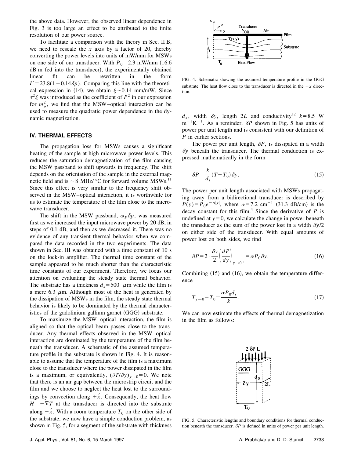the above data. However, the observed linear dependence in Fig. 3 is too large an effect to be attributed to the finite resolution of our power source.

To facilitate a comparison with the theory in Sec. II B, we need to rescale the  $x$  axis by a factor of 20, thereby converting the power levels into units of mW/mm for MSWs on one side of our transducer. With  $P_0 = 2.3$  mW/mm  $(16.6$ dB m fed into the transducer), the experimentally obtained linear fit can be rewritten in the form  $I' = 23.8(1+0.14\delta p)$ . Comparing this line with the theoretical expression in (14), we obtain  $\xi \sim 0.14$  mm/mW. Since  $\tau^2 \xi$  was introduced as the coefficient of  $P^2$  in our expression for  $m_\rho^2$ , we find that the MSW–optical interaction can be used to measure the quadratic power dependence in the dynamic magnetization.

#### **IV. THERMAL EFFECTS**

The propagation loss for MSWs causes a significant heating of the sample at high microwave power levels. This reduces the saturation demagnetization of the film causing the MSW passband to shift upwards in frequency. The shift depends on the orientation of the sample in the external magnetic field and is  $\sim$  8 MHz/ °C for forward volume MSWs.<sup>11</sup> Since this effect is very similar to the frequency shift observed in the MSW–optical interaction, it is worthwhile for us to estimate the temperature of the film close to the microwave transducer.

The shift in the MSW passband,  $\omega_p \delta p$ , was measured first as we increased the input microwave power by 20 dB, in steps of 0.1 dB, and then as we decreased it. There was no evidence of any transient thermal behavior when we compared the data recorded in the two experiments. The data shown in Sec. III was obtained with a time constant of 10 s on the lock-in amplifier. The thermal time constant of the sample appeared to be much shorter than the characteristic time constants of our experiment. Therefore, we focus our attention on evaluating the steady state thermal behavior. The substrate has a thickness  $d_s = 500$   $\mu$ m while the film is a mere 6.3  $\mu$ m. Although most of the heat is generated by the dissipation of MSWs in the film, the steady state thermal behavior is likely to be dominated by the thermal characteristics of the gadolinium gallium garnet  $(GGG)$  substrate.

To maximize the MSW–optical interaction, the film is aligned so that the optical beam passes close to the transducer. Any thermal effects observed in the MSW–optical interaction are dominated by the temperature of the film beneath the transducer. A schematic of the assumed temperature profile in the substrate is shown in Fig. 4. It is reasonable to assume that the temperature of the film is a maximum close to the transducer where the power dissipated in the film is a maximum, or equivalently,  $(\partial T/\partial y)_{y\to 0} = 0$ . We note that there is an air gap between the microstrip circuit and the film and we choose to neglect the heat lost to the surroundings by convection along  $+\hat{x}$ . Consequently, the heat flow  $H=-\nabla T$  at the transducer is directed into the substrate along  $-\hat{x}$ . With a room temperature  $T_0$  on the other side of the substrate, we now have a simple conduction problem, as shown in Fig. 5, for a segment of the substrate with thickness



FIG. 4. Schematic showing the assumed temperature profile in the GGG substrate. The heat flow close to the transducer is directed in the  $-\hat{x}$  direction.

 $d_s$ , width  $\delta y$ , length 2*L* and conductivity<sup>12</sup>  $k = 8.5$  W  $m^{-1}K^{-1}$ . As a reminder,  $\delta P$  shown in Fig. 5 has units of power per unit length and is consistent with our definition of *P* in earlier sections.

The power per unit length,  $\delta P$ , is dissipated in a width  $\delta y$  beneath the transducer. The thermal conduction is expressed mathematically in the form

$$
\delta P = \frac{k}{d_s} (T - T_0) \, \delta y. \tag{15}
$$

The power per unit length associated with MSWs propagating away from a bidirectional transducer is described by  $P(y) = P_0 e^{-\alpha |y|}$ , where  $\alpha = 7.2$  cm<sup>-1</sup> (31.3 dB/cm) is the decay constant for this film.<sup>4</sup> Since the derivative of  $P$  is undefined at  $y=0$ , we calculate the change in power beneath the transducer as the sum of the power lost in a width  $\delta y/2$ on either side of the transducer. With equal amounts of power lost on both sides, we find

$$
\delta P = 2 \cdot \frac{\delta y}{2} \left( \frac{dP}{dy} \right)_{y \to 0^+} = \alpha P_0 \delta y. \tag{16}
$$

Combining  $(15)$  and  $(16)$ , we obtain the temperature difference

$$
T_{y \to 0} - T_0 = \frac{\alpha P_0 d_s}{k}.
$$
\n(17)

We can now estimate the effects of thermal demagnetization in the film as follows:



FIG. 5. Characteristic lengths and boundary conditions for thermal conduction beneath the transducer.  $\delta P$  is defined in units of power per unit length.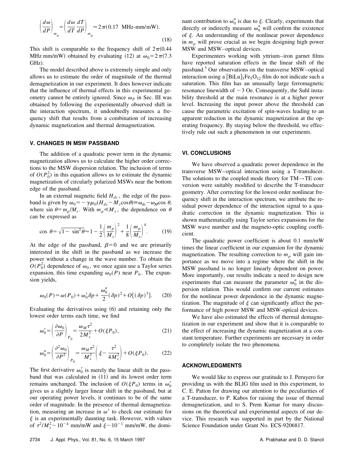$$
\left(\frac{d\omega}{dP}\right)_{m_{\rho}} = \left(\frac{d\omega}{dT}\frac{dT}{dP}\right)_{m_{\rho}} \approx 2\,\pi (0.17 \text{ MHz-mm/mW}).\tag{18}
$$

This shift is comparable to the frequency shift of  $2\pi(0.44)$ MHz mm/mW) obtained by evaluating (12) at  $\omega_0 = 2 \pi (7.3)$ GHz).

The model described above is extremely simple and only allows us to estimate the order of magnitude of the thermal demagnetization in our experiment. It does however indicate that the influence of thermal effects in this experimental geometry cannot be entirely ignored. Since  $\omega_p$  in Sec. III was obtained by following the experimentally observed shift in the interaction spectrum, it undoubtedly measures a frequency shift that results from a combination of increasing dynamic magnetization and thermal demagnetization.

#### **V. CHANGES IN MSW PASSBAND**

The addition of a quadratic power term in the dynamic magnetization allows us to calculate the higher order corrections to the MSW dispersion relation. The inclusion of terms of  $O(P_0^2)$  in this equation allows us to estimate the dynamic magnetization of circularly polarized MSWs near the bottom edge of the passband.

In an external magnetic field  $H_{dc}$ , the edge of the passband is given by  $\omega_0 = -\gamma \mu_0 (H_{dc} - M_s \cos \theta) \equiv \omega_{dc} - \omega_M \cos \theta$ , where  $\sin \theta = m_{\rho}/M_s$ . With  $m_{\rho} \ll M_s$ , the dependence on  $\theta$ can be expressed as

$$
\cos \theta = \sqrt{1 - \sin^2 \theta} \approx 1 - \frac{1}{2} \left( \frac{m_\rho}{M_s} \right)^2 + \frac{1}{8} \left( \frac{m_\rho}{M_s} \right)^4. \tag{19}
$$

At the edge of the passband,  $\beta=0$  and we are primarily interested in the shift in the passband as we increase the power without a change in the wave number. To obtain the  $O(P_0^2)$  dependence of  $\omega_0$ , we once again use a Taylor series expansion, this time expanding  $\omega_0(P)$  near  $P_0$ . The expansion yields,

$$
\omega_0(P) = \omega(P_0) + \omega'_0 \delta p + \frac{\omega''_0}{2} (\delta p)^2 + O[(\delta p)^3].
$$
 (20)

Evaluating the derivatives using  $(6)$  and retaining only the lowest order terms each time, we find

$$
\omega_0' = \left(\frac{\partial \omega_0}{\partial P}\right)_{P_0} = \frac{\omega_M \tau^2}{2M_s^2} + O(\xi P_0),\tag{21}
$$

$$
\omega_0'' = \left(\frac{\partial^2 \omega_0}{\partial P^2}\right)_{P_0} = \frac{\omega_M \tau^2}{M_s^2} \left(\xi - \frac{\tau^2}{4M_s^2}\right) + O(\xi P_0). \tag{22}
$$

The first derivative  $\omega_0'$  is merely the linear shift in the passband that was calculated in  $(11)$  and its lowest order term remains unchanged. The inclusion of  $O(\xi P_0)$  terms in  $\omega'_0$ gives us a slightly larger linear shift in the passband, but at our operating power levels, it continues to be of the same order of magnitude. In the presence of thermal demagnetization, measuring an increase in  $\omega'$  to check our estimate for  $\xi$  is an experimentally daunting task. However, with values of  $\tau^2 / M_s^2 \sim 10^{-4}$  mm/mW and  $\xi \sim 10^{-1}$  mm/mW, the domi-

Experimenters working with yttrium–iron garnet films have reported saturation effects in the linear shift of the passband.<sup>3</sup> Our observations on the transverse MSW–optical interaction using a  $[\text{BiLu}]_3\text{Fe}_5\text{O}_{12}$  film do not indicate such a saturation. This film has an unusually large ferromagnetic resonance linewidth of  $\sim$  3 Oe. Consequently, the Suhl instability threshold at the main resonance is at a higher power level. Increasing the input power above the threshold can cause the parametric excitation of spin-waves leading to an apparent reduction in the dynamic magnetization at the operating frequency. By staying below the threshold, we effectively rule out such a phenomenon in our experiments.

#### **VI. CONCLUSIONS**

We have observed a quadratic power dependence in the transverse MSW–optical interaction using a T-transducer. The solutions to the coupled mode theory for TM→TE conversion were suitably modified to describe the T-transducer geometry. After correcting for the lowest order nonlinear frequency shift in the interaction spectrum, we attribute the residual power dependence of the interaction signal to a quadratic correction in the dynamic magnetization. This is shown mathematically using Taylor series expansions for the MSW wave number and the magneto-optic coupling coefficient.

The quadratic power coefficient is about 0.1 mm/mW times the linear coefficient in our expansion for the dynamic magnetization. The resulting correction to  $m<sub>o</sub>$  will gain importance as we move into a regime where the shift in the MSW passband is no longer linearly dependent on power. More importantly, our results indicate a need to design new experiments that can measure the parameter  $\omega_0$ <sup>"</sup> in the dispersion relation. This would confirm our current estimates for the nonlinear power dependence in the dynamic magnetization. The magnitude of  $\xi$  can significantly affect the performance of high power MSW and MSW-optical devices.

We have also estimated the effects of thermal demagnetization in our experiment and show that it is comparable to the effect of increasing the dynamic magnetization at a constant temperature. Further experiments are necessary in order to completely isolate the two phenomena.

#### **ACKNOWLEDGMENTS**

We would like to express our gratitude to J. Peruyero for providing us with the BLIG film used in this experiment, to C. E. Patton for drawing our attention to the peculiarities of a T-transducer, to P. Kabos for raising the issue of thermal demagnetization, and to S. Prem Kumar for many discussions on the theoretical and experimental aspects of our device. This research was supported in part by the National Science Foundation under Grant No. ECS-9206817.